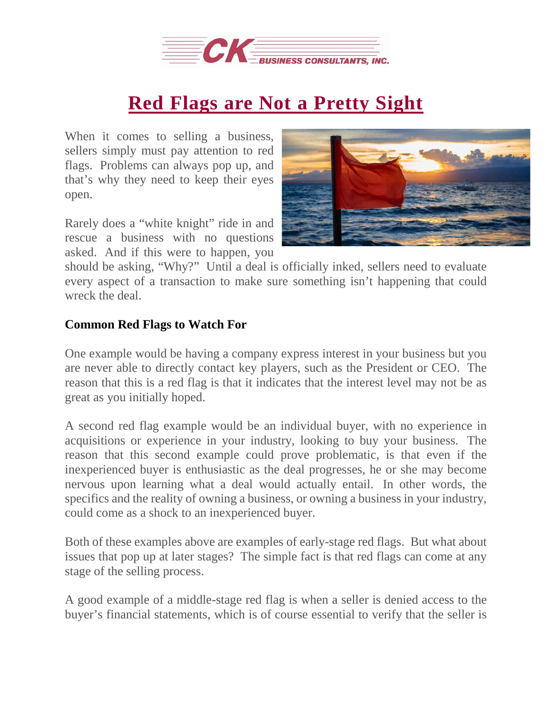

## **Red Flags are Not a [Pretty](https://deal-studio.com/red-flags-are-not-a-pretty-sight/) Sight**

When it comes to selling a business, sellers simply must pay attention to red flags. Problems can always pop up, and that's why they need to keep their eyes open.

Rarely does a "white knight" ride in and rescue a business with no questions asked. And if this were to happen, you



should be asking, "Why?" Until a deal is officially inked, sellers need to evaluate every aspect of a transaction to make sure something isn't happening that could wreck the deal.

## **Common Red Flags to Watch For**

One example would be having a company express interest in your business but you are never able to directly contact key players, such as the President or CEO. The reason that this is a red flag is that it indicates that the interest level may not be as great as you initially hoped.

A second red flag example would be an individual buyer, with no experience in acquisitions or experience in your industry, looking to buy your business. The reason that this second example could prove problematic, is that even if the inexperienced buyer is enthusiastic as the deal progresses, he or she may become nervous upon learning what a deal would actually entail. In other words, the specifics and the reality of owning a business, or owning a business in your industry, could come as a shock to an inexperienced buyer.

Both of these examples above are examples of early-stage red flags. But what about issues that pop up at later stages? The simple fact is that red flags can come at any stage of the selling process.

A good example of a middle-stage red flag is when a seller is denied access to the buyer's financial statements, which is of course essential to verify that the seller is